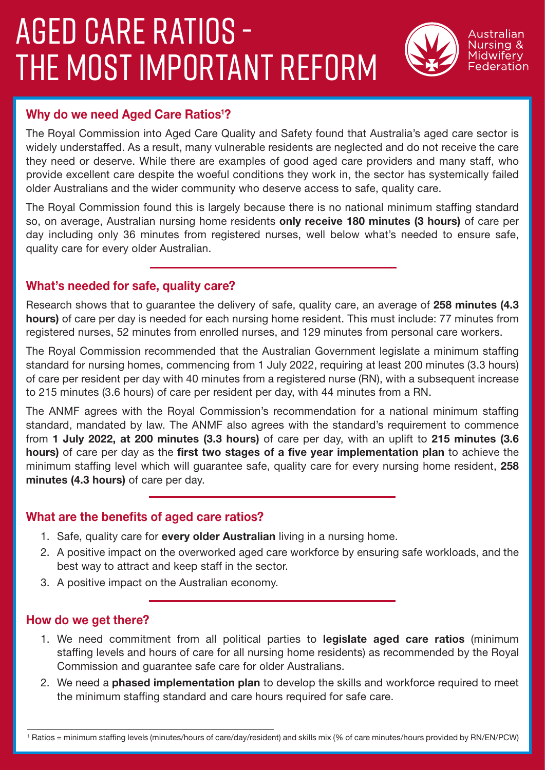# AGED CARE RATIOS - THE MOST IMPORTANT REFORM



### Why do we need Aged Care Ratios<sup>1</sup>?

The Royal Commission into Aged Care Quality and Safety found that Australia's aged care sector is widely understaffed. As a result, many vulnerable residents are neglected and do not receive the care they need or deserve. While there are examples of good aged care providers and many staff, who provide excellent care despite the woeful conditions they work in, the sector has systemically failed older Australians and the wider community who deserve access to safe, quality care.

The Royal Commission found this is largely because there is no national minimum staffing standard so, on average, Australian nursing home residents only receive 180 minutes (3 hours) of care per day including only 36 minutes from registered nurses, well below what's needed to ensure safe, quality care for every older Australian.

### What's needed for safe, quality care?

Research shows that to quarantee the delivery of safe, quality care, an average of 258 minutes (4.3 hours) of care per day is needed for each nursing home resident. This must include: 77 minutes from registered nurses, 52 minutes from enrolled nurses, and 129 minutes from personal care workers.

The Royal Commission recommended that the Australian Government legislate a minimum staffing standard for nursing homes, commencing from 1 July 2022, requiring at least 200 minutes (3.3 hours) of care per resident per day with 40 minutes from a registered nurse (RN), with a subsequent increase to 215 minutes (3.6 hours) of care per resident per day, with 44 minutes from a RN.

The ANMF agrees with the Royal Commission's recommendation for a national minimum staffing standard, mandated by law. The ANMF also agrees with the standard's requirement to commence from 1 July 2022, at 200 minutes (3.3 hours) of care per day, with an uplift to 215 minutes (3.6 hours) of care per day as the first two stages of a five year implementation plan to achieve the minimum staffing level which will quarantee safe, quality care for every nursing home resident, 258 minutes (4.3 hours) of care per day.

### What are the benefits of aged care ratios?

- 1. Safe, quality care for every older Australian living in a nursing home.
- 2. A positive impact on the overworked aged care workforce by ensuring safe workloads, and the best way to attract and keep staff in the sector.
- 3. A positive impact on the Australian economy.

#### How do we get there?

- 1. We need commitment from all political parties to **legislate aged care ratios** (minimum staffing levels and hours of care for all nursing home residents) as recommended by the Royal Commission and guarantee safe care for older Australians.
- 2. We need a phased implementation plan to develop the skills and workforce required to meet the minimum staffing standard and care hours required for safe care.

<sup>1</sup> Ratios = minimum staffing levels (minutes/hours of care/day/resident) and skills mix (% of care minutes/hours provided by RN/EN/PCW)